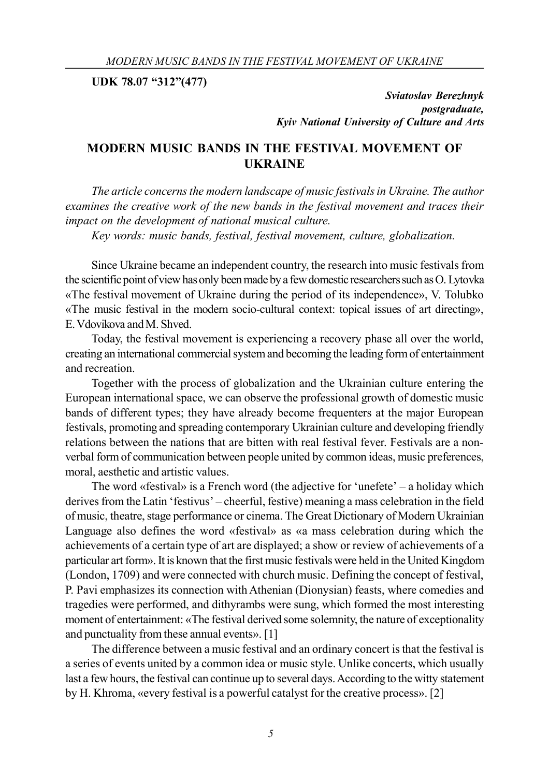**UDK 78.07 "312"(477)**

*Sviatoslav Berezhnyk postgraduate, Kyiv National University of Culture and Arts*

## **MODERN MUSIC BANDS IN THE FESTIVAL MOVEMENT OF UKRAINE**

*The article concerns the modern landscape of music festivals in Ukraine. The author examines the creative work of the new bands in the festival movement and traces their impact on the development of national musical culture.*

*Key words: music bands, festival, festival movement, culture, globalization.*

Since Ukraine became an independent country, the research into music festivals from the scientific point of view has only been made by a few domestic researchers such as O. Lytovka «The festival movement of Ukraine during the period of its independence», V. Tolubko «The music festival in the modern socio-cultural context: topical issues of art directing», E. Vdovikova and M. Shved.

Today, the festival movement is experiencing a recovery phase all over the world, creating an international commercial system and becoming the leading form of entertainment and recreation.

Together with the process of globalization and the Ukrainian culture entering the European international space, we can observe the professional growth of domestic music bands of different types; they have already become frequenters at the major European festivals, promoting and spreading contemporary Ukrainian culture and developing friendly relations between the nations that are bitten with real festival fever. Festivals are a nonverbal form of communication between people united by common ideas, music preferences, moral, aesthetic and artistic values.

The word «festival» is a French word (the adjective for 'unefete' – a holiday which derives from the Latin 'festivus' – cheerful, festive) meaning a mass celebration in the field of music, theatre, stage performance or cinema. The Great Dictionary of Modern Ukrainian Language also defines the word «festival» as «a mass celebration during which the achievements of a certain type of art are displayed; a show or review of achievements of a particular art form». It is known that the first music festivals were held in the United Kingdom (London, 1709) and were connected with church music. Defining the concept of festival, P. Pavi emphasizes its connection with Athenian (Dionysian) feasts, where comedies and tragedies were performed, and dithyrambs were sung, which formed the most interesting moment of entertainment: «The festival derived some solemnity, the nature of exceptionality and punctuality from these annual events». [1]

The difference between a music festival and an ordinary concert is that the festival is a series of events united by a common idea or music style. Unlike concerts, which usually last a few hours, the festival can continue up to several days. According to the witty statement by H. Khroma, «every festival is a powerful catalyst for the creative process». [2]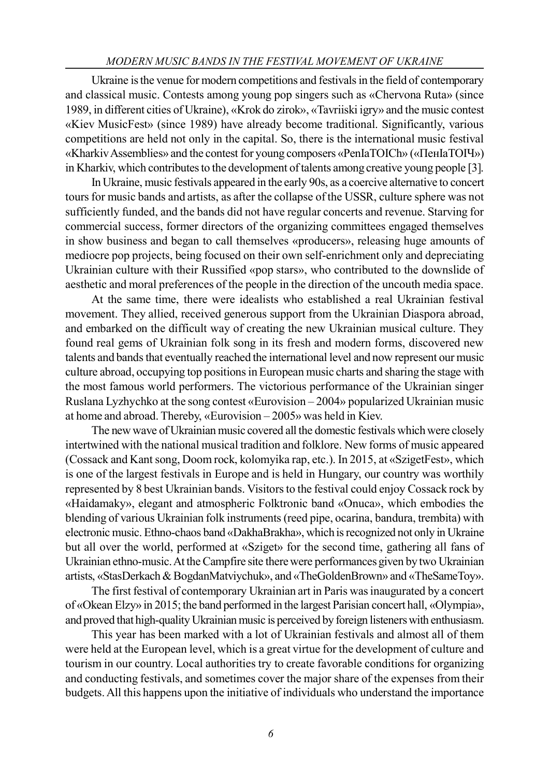## *MODERN MUSIC BANDS IN THE FESTIVAL MOVEMENT OF UKRAINE*

Ukraine is the venue for modern competitions and festivals in the field of contemporary and classical music. Contests among young pop singers such as «Chervona Ruta» (since 1989, in different cities of Ukraine), «Krok do zirok», «Tavriiski igry» and the music contest «Kiev MusicFest» (since 1989) have already become traditional. Significantly, various competitions are held not only in the capital. So, there is the international music festival «Kharkiv Assemblies» and the contest for young composers «PenIaTOICh» («ПенІаТОІЧ») in Kharkiv, which contributes to the development of talents among creative young people [3].

In Ukraine, music festivals appeared in the early 90s, as a coercive alternative to concert tours for music bands and artists, as after the collapse of the USSR, culture sphere was not sufficiently funded, and the bands did not have regular concerts and revenue. Starving for commercial success, former directors of the organizing committees engaged themselves in show business and began to call themselves «producers», releasing huge amounts of mediocre pop projects, being focused on their own self-enrichment only and depreciating Ukrainian culture with their Russified «pop stars», who contributed to the downslide of aesthetic and moral preferences of the people in the direction of the uncouth media space.

At the same time, there were idealists who established a real Ukrainian festival movement. They allied, received generous support from the Ukrainian Diaspora abroad, and embarked on the difficult way of creating the new Ukrainian musical culture. They found real gems of Ukrainian folk song in its fresh and modern forms, discovered new talents and bands that eventually reached the international level and now represent our music culture abroad, occupying top positions in European music charts and sharing the stage with the most famous world performers. The victorious performance of the Ukrainian singer Ruslana Lyzhychko at the song contest «Eurovision – 2004» popularized Ukrainian music at home and abroad. Thereby, «Eurovision – 2005» was held in Kiev.

The new wave of Ukrainian music covered all the domestic festivals which were closely intertwined with the national musical tradition and folklore. New forms of music appeared (Cossack and Kant song, Doom rock, kolomyika rap, etc.). In 2015, at «SzigetFest», which is one of the largest festivals in Europe and is held in Hungary, our country was worthily represented by 8 best Ukrainian bands. Visitors to the festival could enjoy Cossack rock by «Haidamaky», elegant and atmospheric Folktronic band «Onuca», which embodies the blending of various Ukrainian folk instruments (reed pipe, ocarina, bandura, trembita) with electronic music. Ethno-chaos band «DakhaBrakha», which is recognized not only in Ukraine but all over the world, performed at «Sziget» for the second time, gathering all fans of Ukrainian ethno-music. At the Campfire site there were performances given by two Ukrainian artists, «StasDerkach & BogdanMatviychuk», and «TheGoldenBrown» and «TheSameToy».

The first festival of contemporary Ukrainian art in Paris was inaugurated by a concert of «Okean Elzy» in 2015; the band performed in the largest Parisian concert hall, «Olympia», and proved that high-quality Ukrainian music is perceived by foreign listeners with enthusiasm.

This year has been marked with a lot of Ukrainian festivals and almost all of them were held at the European level, which is a great virtue for the development of culture and tourism in our country. Local authorities try to create favorable conditions for organizing and conducting festivals, and sometimes cover the major share of the expenses from their budgets. All this happens upon the initiative of individuals who understand the importance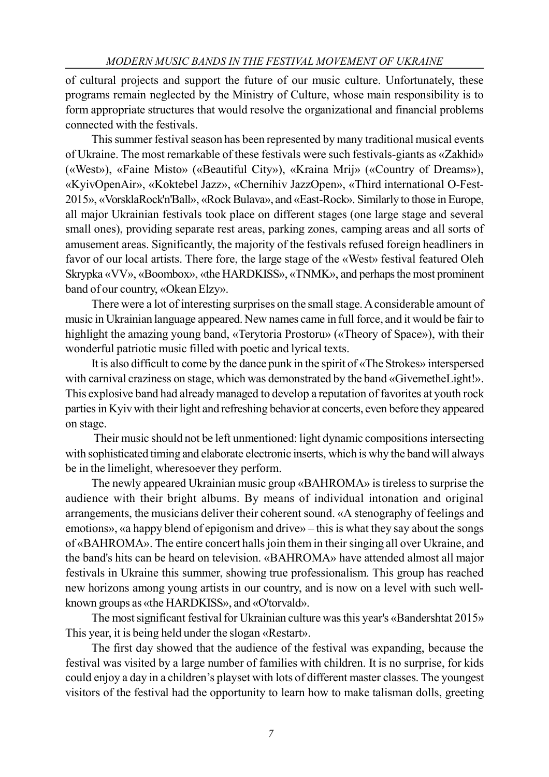of cultural projects and support the future of our music culture. Unfortunately, these programs remain neglected by the Ministry of Culture, whose main responsibility is to form appropriate structures that would resolve the organizational and financial problems connected with the festivals.

This summer festival season has been represented by many traditional musical events of Ukraine. The most remarkable of these festivals were such festivals-giants as «Zakhid» («West»), «Faine Misto» («Beautiful City»), «Kraina Mrij» («Country of Dreams»), «KyivOpenAir», «Koktebel Jazz», «Chernihiv JazzOpen», «Third international O-Fest-2015», «VorsklaRock'n'Ball», «Rock Bulava», and «East-Rock». Similarly to those in Europe, all major Ukrainian festivals took place on different stages (one large stage and several small ones), providing separate rest areas, parking zones, camping areas and all sorts of amusement areas. Significantly, the majority of the festivals refused foreign headliners in favor of our local artists. There fore, the large stage of the «West» festival featured Oleh Skrypka «VV», «Boombox», «the HARDKISS», «TNMK», and perhaps the most prominent band of our country, «Okean Elzy».

There were a lot of interesting surprises on the small stage. A considerable amount of music in Ukrainian language appeared. New names came in full force, and it would be fair to highlight the amazing young band, «Terytoria Prostoru» («Theory of Space»), with their wonderful patriotic music filled with poetic and lyrical texts.

It is also difficult to come by the dance punk in the spirit of «The Strokes» interspersed with carnival craziness on stage, which was demonstrated by the band «GivemetheLight!». This explosive band had already managed to develop a reputation of favorites at youth rock parties in Kyiv with their light and refreshing behavior at concerts, even before they appeared on stage.

 Their music should not be left unmentioned: light dynamic compositions intersecting with sophisticated timing and elaborate electronic inserts, which is why the band will always be in the limelight, wheresoever they perform.

The newly appeared Ukrainian music group «BAHROMA» is tireless to surprise the audience with their bright albums. By means of individual intonation and original arrangements, the musicians deliver their coherent sound. «A stenography of feelings and emotions», «a happy blend of epigonism and drive» – this is what they say about the songs of «BAHROMA». The entire concert halls join them in their singing all over Ukraine, and the band's hits can be heard on television. «BAHROMA» have attended almost all major festivals in Ukraine this summer, showing true professionalism. This group has reached new horizons among young artists in our country, and is now on a level with such wellknown groups as «the HARDKISS», and «O'torvald».

The most significant festival for Ukrainian culture was this year's «Bandershtat 2015» This year, it is being held under the slogan «Restart».

The first day showed that the audience of the festival was expanding, because the festival was visited by a large number of families with children. It is no surprise, for kids could enjoy a day in a children's playset with lots of different master classes. The youngest visitors of the festival had the opportunity to learn how to make talisman dolls, greeting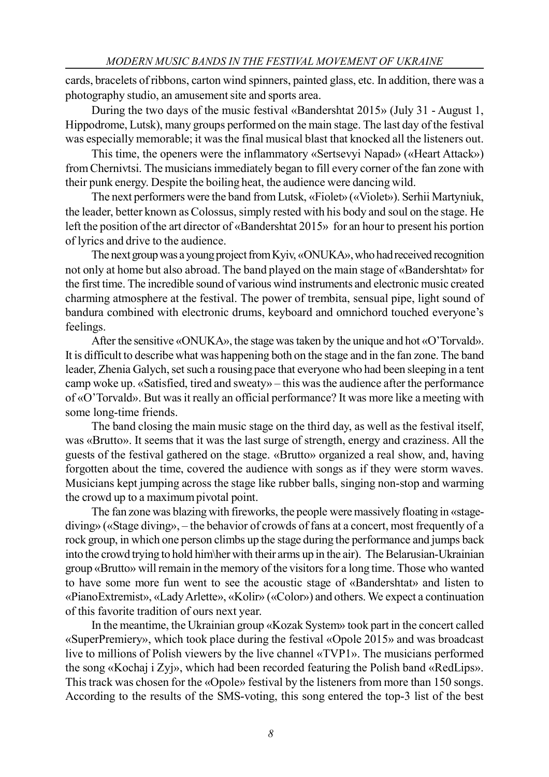cards, bracelets of ribbons, carton wind spinners, painted glass, etc. In addition, there was a photography studio, an amusement site and sports area.

During the two days of the music festival «Bandershtat 2015» (July 31 - August 1, Hippodrome, Lutsk), many groups performed on the main stage. The last day of the festival was especially memorable; it was the final musical blast that knocked all the listeners out.

This time, the openers were the inflammatory «Sertsevyi Napad» («Heart Attack») from Chernivtsi. The musicians immediately began to fill every corner of the fan zone with their punk energy. Despite the boiling heat, the audience were dancing wild.

The next performers were the band from Lutsk, «Fiolet» («Violet»). Serhii Martyniuk, the leader, better known as Colossus, simply rested with his body and soul on the stage. He left the position of the art director of «Bandershtat 2015» for an hour to present his portion of lyrics and drive to the audience.

The next group was a young project from Kyiv, «ONUKA», who had received recognition not only at home but also abroad. The band played on the main stage of «Bandershtat» for the first time. The incredible sound of various wind instruments and electronic music created charming atmosphere at the festival. The power of trembita, sensual pipe, light sound of bandura combined with electronic drums, keyboard and omnichord touched everyone's feelings.

After the sensitive «ONUKA», the stage was taken by the unique and hot «O'Torvald». It is difficult to describe what was happening both on the stage and in the fan zone. The band leader, Zhenia Galych, set such a rousing pace that everyone who had been sleeping in a tent camp woke up. «Satisfied, tired and sweaty» – this was the audience after the performance of «O'Torvald». But was it really an official performance? It was more like a meeting with some long-time friends.

The band closing the main music stage on the third day, as well as the festival itself, was «Brutto». It seems that it was the last surge of strength, energy and craziness. All the guests of the festival gathered on the stage. «Brutto» organized a real show, and, having forgotten about the time, covered the audience with songs as if they were storm waves. Musicians kept jumping across the stage like rubber balls, singing non-stop and warming the crowd up to a maximum pivotal point.

The fan zone was blazing with fireworks, the people were massively floating in «stagediving» («Stage diving», – the behavior of crowds of fans at a concert, most frequently of a rock group, in which one person climbs up the stage during the performance and jumps back into the crowd trying to hold him\her with their arms up in the air). The Belarusian-Ukrainian group «Brutto» will remain in the memory of the visitors for a long time. Those who wanted to have some more fun went to see the acoustic stage of «Bandershtat» and listen to «PianoExtremist», «Lady Arlette», «Kolir» («Color») and others. We expect a continuation of this favorite tradition of ours next year.

In the meantime, the Ukrainian group «Kozak System» took part in the concert called «SuperPremiery», which took place during the festival «Opole 2015» and was broadcast live to millions of Polish viewers by the live channel «TVP1». The musicians performed the song «Kochaj i Zyj», which had been recorded featuring the Polish band «RedLips». This track was chosen for the «Opole» festival by the listeners from more than 150 songs. According to the results of the SMS-voting, this song entered the top-3 list of the best